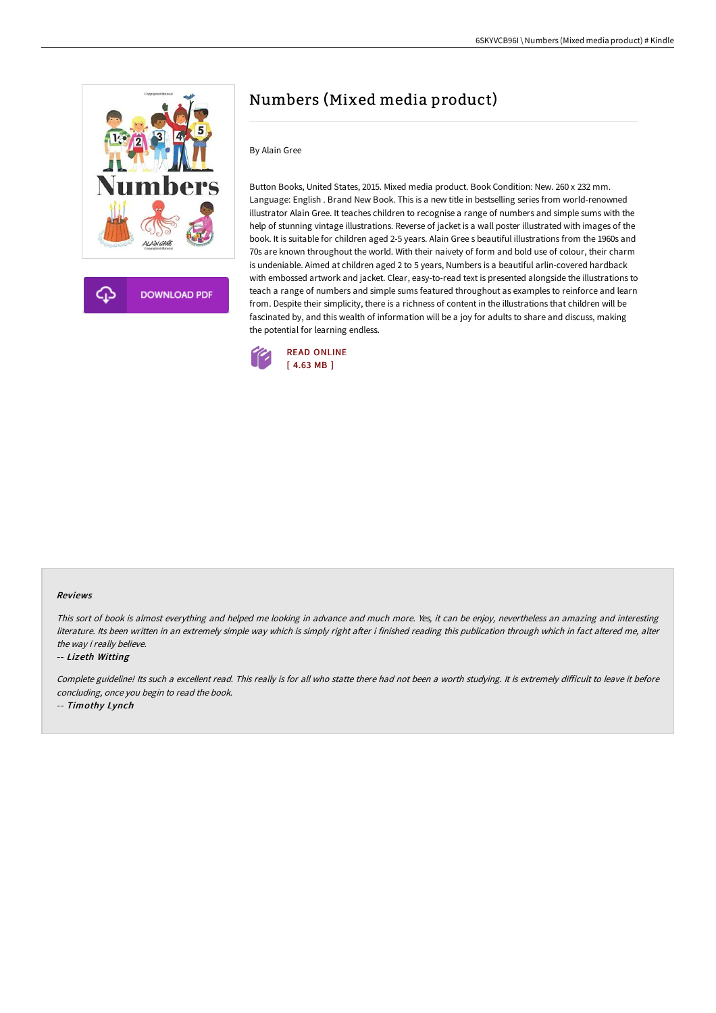

**DOWNLOAD PDF** 

# Numbers (Mixed media product)

# By Alain Gree

Button Books, United States, 2015. Mixed media product. Book Condition: New. 260 x 232 mm. Language: English . Brand New Book. This is a new title in bestselling series from world-renowned illustrator Alain Gree. It teaches children to recognise a range of numbers and simple sums with the help of stunning vintage illustrations. Reverse of jacket is a wall poster illustrated with images of the book. It is suitable for children aged 2-5 years. Alain Gree s beautiful illustrations from the 1960s and 70s are known throughout the world. With their naivety of form and bold use of colour, their charm is undeniable. Aimed at children aged 2 to 5 years, Numbers is a beautiful arlin-covered hardback with embossed artwork and jacket. Clear, easy-to-read text is presented alongside the illustrations to teach a range of numbers and simple sums featured throughout as examples to reinforce and learn from. Despite their simplicity, there is a richness of content in the illustrations that children will be fascinated by, and this wealth of information will be a joy for adults to share and discuss, making the potential for learning endless.



#### Reviews

This sort of book is almost everything and helped me looking in advance and much more. Yes, it can be enjoy, nevertheless an amazing and interesting literature. Its been written in an extremely simple way which is simply right after i finished reading this publication through which in fact altered me, alter the way i really believe.

#### -- Lizeth Witting

Complete guideline! Its such a excellent read. This really is for all who statte there had not been a worth studying. It is extremely difficult to leave it before concluding, once you begin to read the book.

-- Timothy Lynch